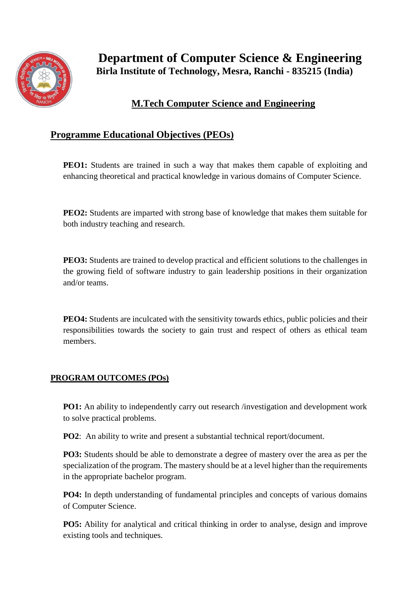

## **M.Tech Computer Science and Engineering**

## **Programme Educational Objectives (PEOs)**

**PEO1:** Students are trained in such a way that makes them capable of exploiting and enhancing theoretical and practical knowledge in various domains of Computer Science.

**PEO2:** Students are imparted with strong base of knowledge that makes them suitable for both industry teaching and research.

**PEO3:** Students are trained to develop practical and efficient solutions to the challenges in the growing field of software industry to gain leadership positions in their organization and/or teams.

**PEO4:** Students are inculcated with the sensitivity towards ethics, public policies and their responsibilities towards the society to gain trust and respect of others as ethical team members.

## **PROGRAM OUTCOMES (POs)**

**PO1:** An ability to independently carry out research /investigation and development work to solve practical problems.

**PO2**: An ability to write and present a substantial technical report/document.

**PO3:** Students should be able to demonstrate a degree of mastery over the area as per the specialization of the program. The mastery should be at a level higher than the requirements in the appropriate bachelor program.

**PO4:** In depth understanding of fundamental principles and concepts of various domains of Computer Science.

**PO5:** Ability for analytical and critical thinking in order to analyse, design and improve existing tools and techniques.